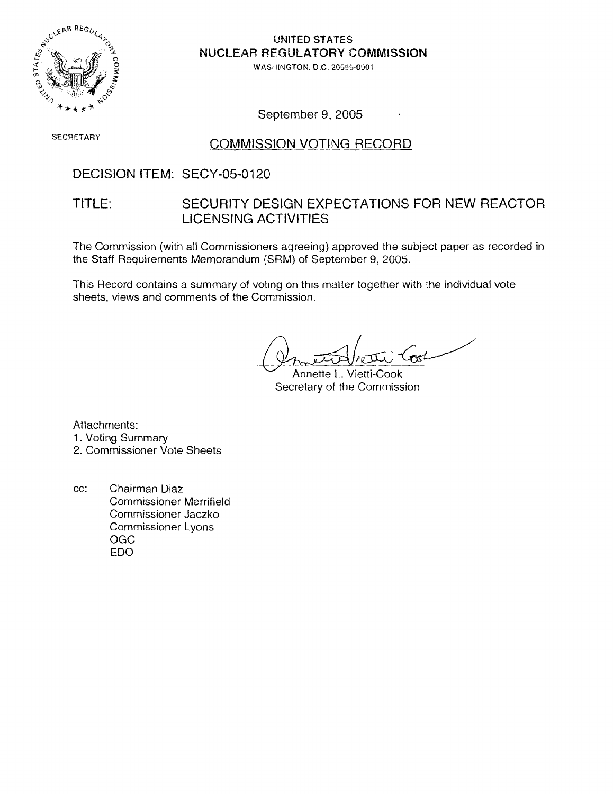

**UNITED STATES NUCLEAR REGULATORY COMMISSION** 

**!%'P.SHlNGTOK.** D.C. **20555-0001** 

September 9, 2005

# **SECRETARY COMMISSION VOTING RECORD**

### DECISION ITEM: SECY-05-0120

### TITLE: SECURITY DESIGN EXPECTATIONS FOR NEW REACTOR LICENSING ACTIVITIES

The Commission (with all Commissioners agreeing) approved the subject paper as recorded in the Staff Requirements Memorandum (SRM) of September 9, 2005.

This Record contains a summary of voting on this matter together with the individual vote sheets, views and comments of the Commission.

 $\mathcal{L}$ 

Annette L. Vietti-Cook Secretary of the Commission

Attachments: 1. Voting Summary

2. Commissioner Vote Sheets

cc: Chairman Diaz Commissioner Merrifield Commissioner Jaczko Commissioner Lyons OGC ED0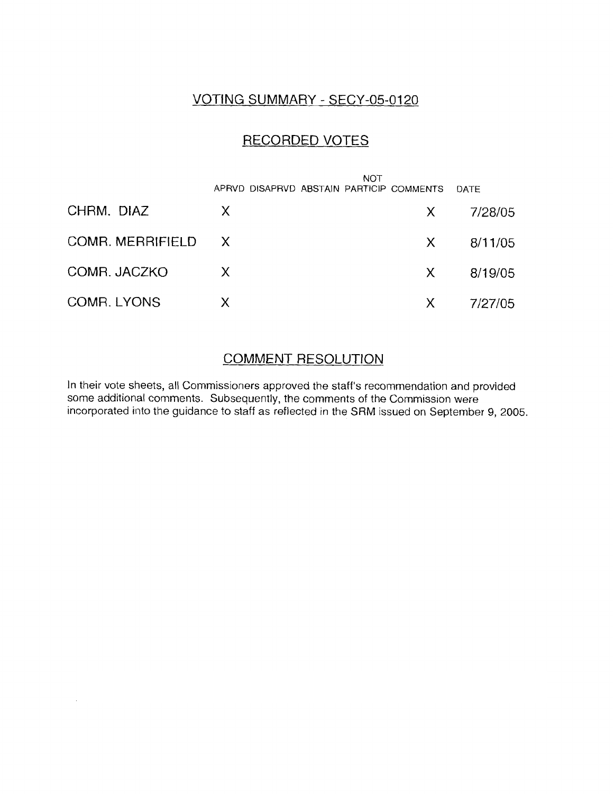### VOTING SUMMARY - SECY-05-0120

### RECORDED VOTES

|                    | APRVD DISAPRVD ABSTAIN PARTICIP COMMENTS | <b>NOT</b> |        | DATE    |
|--------------------|------------------------------------------|------------|--------|---------|
| CHRM. DIAZ         | X                                        |            | X.     | 7/28/05 |
| COMR. MERRIFIELD X |                                          |            | X.     | 8/11/05 |
| COMR. JACZKO       | $\chi$                                   |            | $\chi$ | 8/19/05 |
| COMR. LYONS        | X                                        |            | X.     | 7/27/05 |

### COMMENT RESOLUTION

In their vote sheets, all Commissioners approved the staff's recommendation and provided some additional comments. Subsequently, the comments of the Commission were incorporated into the guidance to staff as reflected in the SRM issued on September 9, 2005.

 $\ddot{\phantom{1}}$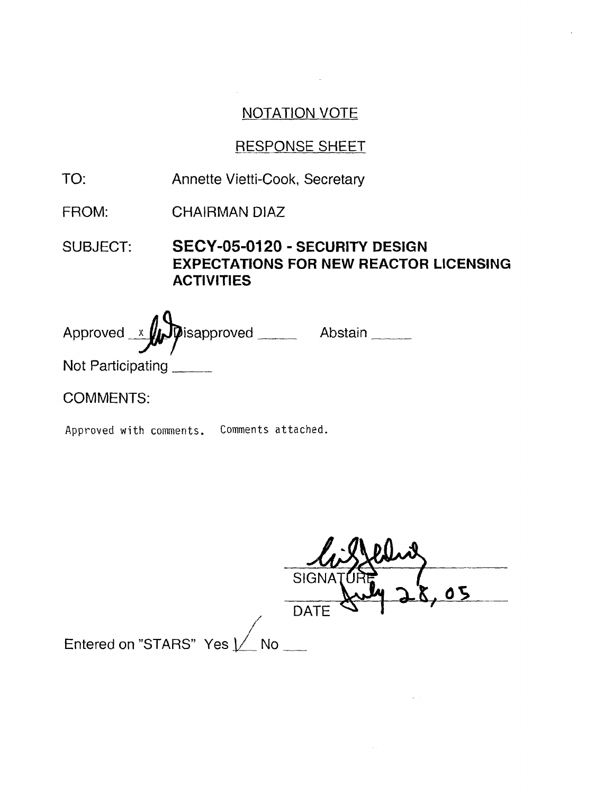## RESPONSE SHEET

- TO: Annette Vietti-Cook, Secretary
- FROM: CHAIRMAN DlAZ

SUBJECT: **SECY-05-0120** - **SECURITY DESIGN EXPECTATIONS FOR NEW REACTOR LICENSING ACTIVITIES** 

Approved x prisapproved \_\_\_\_\_\_ Abstain \_\_\_\_\_

Not Participating

COMMENTS:

**Approved with comments. Comments attached.** 

|                             | SIGN.       |  |
|-----------------------------|-------------|--|
|                             | <b>DATE</b> |  |
| Entered on "STARS" Yes [ No |             |  |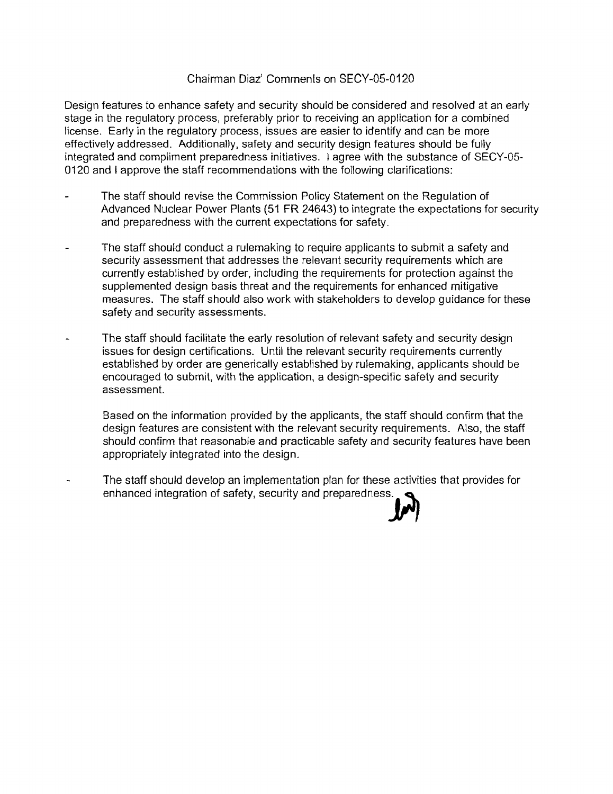#### Chairman Diaz' Comments on SECY-05-0120

Design features to enhance safety and security should be considered and resolved at an early stage in the regulatory process, preferably prior to receiving an application for a combined license. Early in the regulatory process, issues are easier to identify and can be more effectively addressed. Additionally, safety and security design features should be fully integrated and compliment preparedness initiatives. I agree with the substance of SECY-05- 0120 and I approve the staff recommendations with the following clarifications:

- The staff should revise the Commission Policy Statement on the Regulation of Advanced Nuclear Power Plants (51 FR 24643) to integrate the expectations for security and preparedness with the current expectations for safety.
- The staff should conduct a rulemaking to require applicants to submit a safety and security assessment that addresses the relevant security requirements which are currently established by order, including the requirements for protection against the supplemented design basis threat and the requirements for enhanced mitigative measures. The staff should also work with stakeholders to develop guidance for these safety and security assessments.
- The staff should facilitate the early resolution of relevant safety and security design issues for design certifications. Until the relevant security requirements currently established by order are generically established by rulemaking, applicants should be encouraged to submit, with the application, a design-specific safety and security assessment.

Based on the information provided by the applicants, the staff should confirm that the design features are consistent with the relevant security requirements. Also, the staff should confirm that reasonable and practicable safety and security features have been appropriately integrated into the design.

The staff should develop an implementation plan for these activities that provides for enhanced integration of safety, security and preparedness.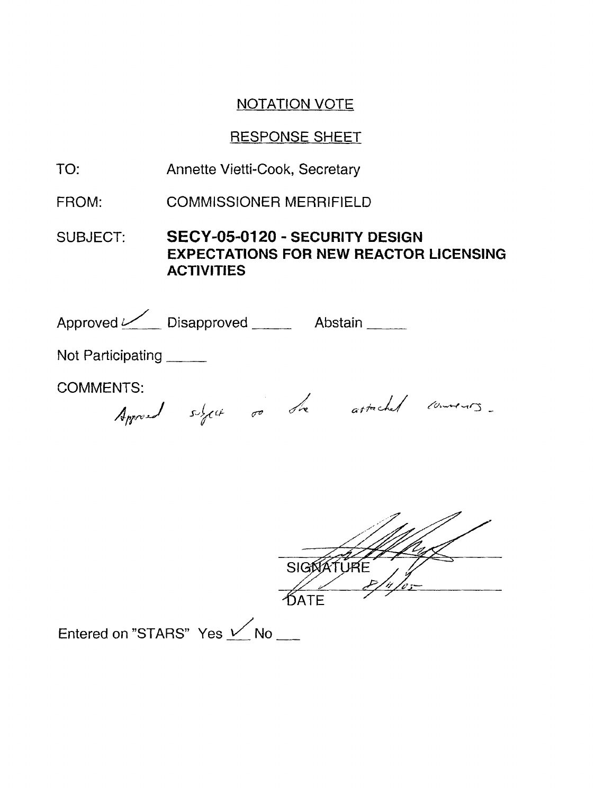## RESPONSE SHEET

- TO: Annette Vietti-Cook, Secretary
- FROM: COMMISSIONER MERRIFIELD

SUBJECT: **SECY-05-0120** - **SECURITY DESIGN EXPECTATIONS FOR NEW REACTOR LICENSING ACTIVITIES** 

| Approved Consumers Disapproved Consumers Abstain |                                         |
|--------------------------------------------------|-----------------------------------------|
| Not Participating                                |                                         |
| <b>COMMENTS:</b>                                 | Approach sight to the attached conners. |
|                                                  | SIGOATURE                               |

Entered on "STARS" Yes  $\sqrt{}$  No  $\pm$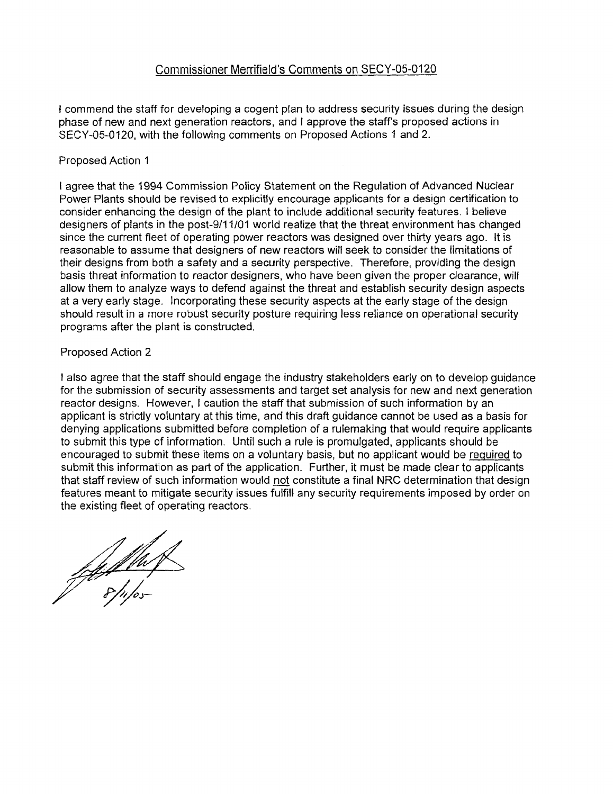#### Commissioner Merrifield's Comments on SECY-05-0120

I commend the staff for developing a cogent plan to address security issues during the design phase of new and next generation reactors, and I approve the staff's proposed actions in SECY-05-0120, with the following comments on Proposed Actions 1 and 2.

#### Proposed Action 1

I agree that the 1994 Commission Policy Statement on the Regulation of Advanced Nuclear Power Plants should be revised to explicitly encourage applicants for a design certification to consider enhancing the design of the plant to include additional security features. I believe designers of plants in the post-911 1/01 world realize that the threat environment has changed since the current fleet of operating power reactors was designed over thirty years ago. It is reasonable to assume that designers of new reactors will seek to consider the limitations of their designs from both a safety and a security perspective. Therefore, providing the design basis threat information to reactor designers, who have been given the proper clearance, will allow them to analyze ways to defend against the threat and establish security design aspects at a very early stage. Incorporating these security aspects at the early stage of the design should result in a more robust security posture requiring less reliance on operational security programs after the plant is constructed.

#### Proposed Action 2

I also agree that the staff should engage the industry stakeholders early on to develop guidance for the submission of security assessments and target set analysis for new and next generation reactor designs. However, I caution the staff that submission of such information by an applicant is strictly voluntary at this time, and this draft guidance cannot be used as a basis for denying applications submitted before completion of a rulemaking that would require applicants to submit this type of information. Until such a rule is promulgated, applicants should be encouraged to submit these items on a voluntary basis, but no applicant would be required to submit this information as part of the application. Further, it must be made clear to applicants that staff review of such information would not constitute a final NRC determination that design features meant to mitigate security issues fulfill any security requirements imposed by order on the existing fleet of operating reactors.

falluf<br>P<sup>a</sup>rphos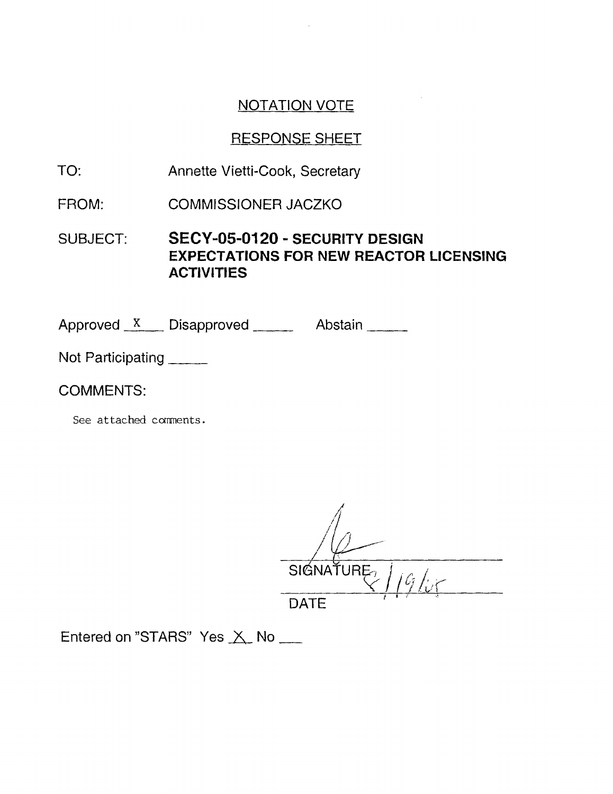### RESPONSE SHEET

- TO: Annette Vietti-Cook, Secretary
- FROM: COMMISSIONER JACZKO

SUBJECT: **SECY-05-0120** - **SECURITY DESIGN EXPECTATIONS FOR NEW REACTOR LICENSING ACTIVITIES** 

Approved X Disapproved Abstain

Not Participating

COMMENTS:

*See* **attached** cments.

SIGNATURE

DATE<br>Entered on "STARS" Yes  $\times$  No \_\_\_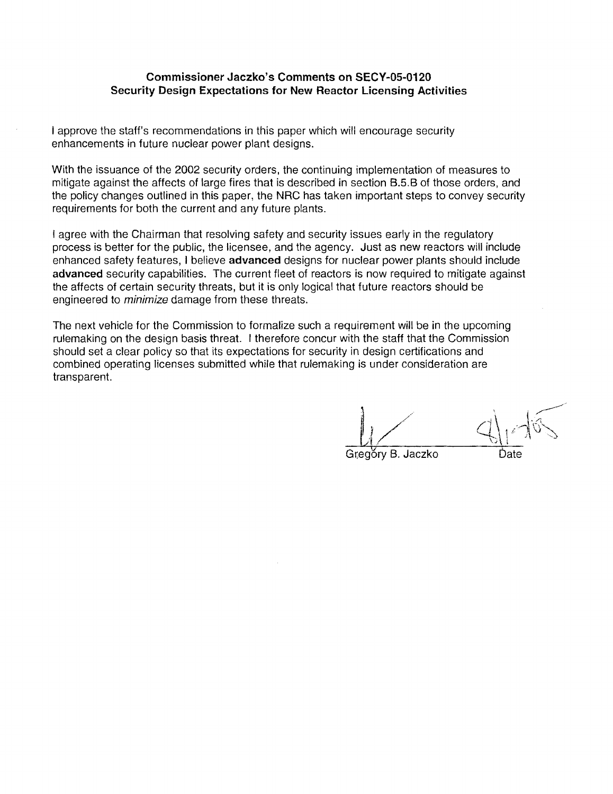#### **Commissioner Jaczko's Comments on SECY-05-0120 Security Design Expectations for New Reactor Licensing Activities**

I approve the staff's recommendations in this paper which will encourage security enhancements in future nuclear power plant designs.

With the issuance of the 2002 security orders, the continuing implementation of measures to mitigate against the affects of large fires that is described in section B.5.B of those orders, and the policy changes outlined in this paper, the NRC has taken important steps to convey security requirements for both the current and any future plants.

I agree with the Chairman that resolving safety and security issues early in the regulatory process is better for the public, the licensee, and the agency. Just as new reactors will include enhanced safety features, I believe **advanced** designs for nuclear power plants should include **advanced** security capabilities. The current fleet of reactors is now required to mitigate against the affects of certain security threats, but it is only logical that future reactors should be engineered to *minimize* damage from these threats.

The next vehicle for the Commission to formalize such a requirement will be in the upcoming rulemaking on the design basis threat. I therefore concur with the staff that the Commission should set a clear policy so that its expectations for security in design certifications and combined operating licenses submitted while that rulemaking is under consideration are transparent.

~r,eg&y **6.** Jaczko bate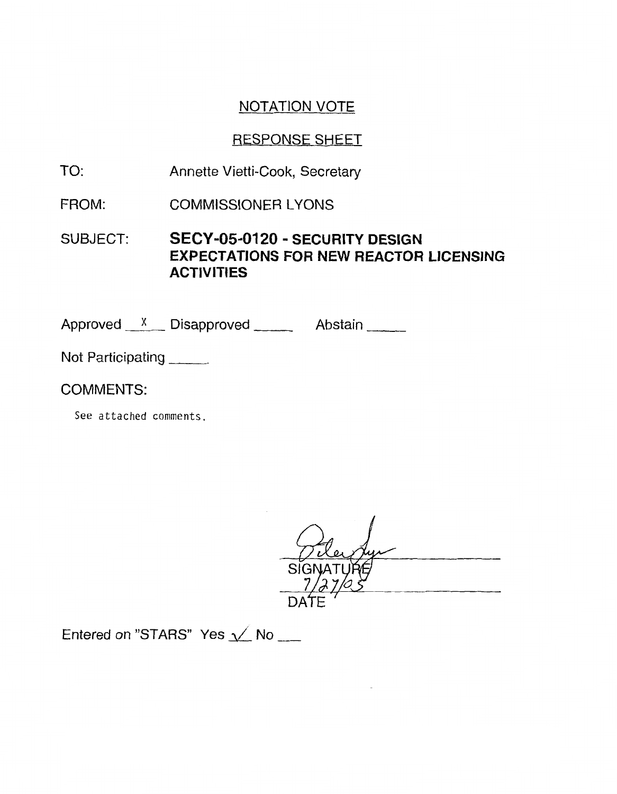## RESPONSE SHEET

- TO: Annette Vietti-Cook, Secretary
- FROM: COMMISSIONER LYONS

SUBJECT: **SECY-05-0120** - **SECURITY DESIGN EXPECTATIONS FOR NEW REACTOR LICENSING ACTIVITIES** 

Approved  $x$  Disapproved Abstain

Not Participating

COMMENTS:

See **attached comments.** 

Entered on "STARS" Yes  $\sqrt{}$  No  $\sqrt{}$